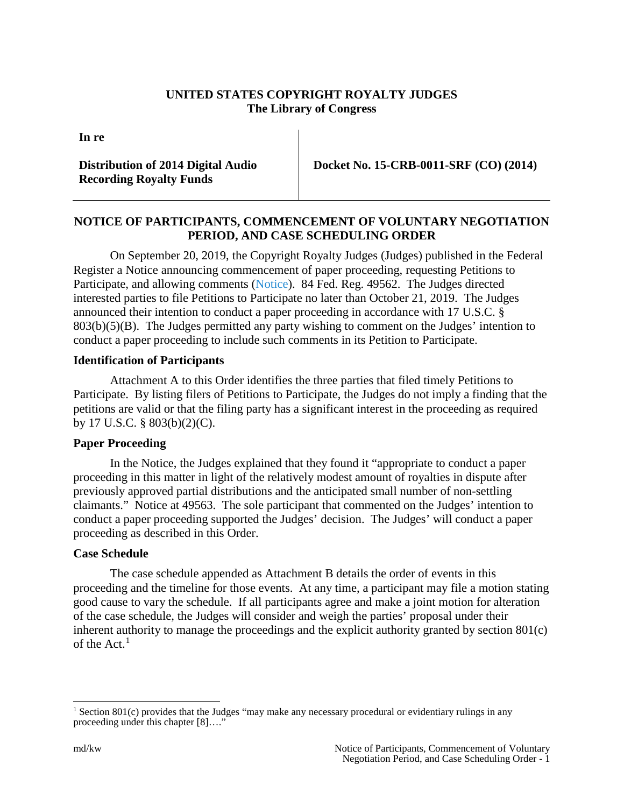## **UNITED STATES COPYRIGHT ROYALTY JUDGES The Library of Congress**

**In re**

**Distribution of 2014 Digital Audio Recording Royalty Funds**

 **Docket No. 15-CRB-0011-SRF (CO) (2014)**

## **NOTICE OF PARTICIPANTS, COMMENCEMENT OF VOLUNTARY NEGOTIATION PERIOD, AND CASE SCHEDULING ORDER**

On September 20, 2019, the Copyright Royalty Judges (Judges) published in the Federal Register a Notice announcing commencement of paper proceeding, requesting Petitions to Participate, and allowing comments [\(Notice\)](https://app.crb.gov/case/viewDocument/8990). 84 Fed. Reg. 49562. The Judges directed interested parties to file Petitions to Participate no later than October 21, 2019. The Judges announced their intention to conduct a paper proceeding in accordance with 17 U.S.C. § 803(b)(5)(B). The Judges permitted any party wishing to comment on the Judges' intention to conduct a paper proceeding to include such comments in its Petition to Participate.

## **Identification of Participants**

Attachment A to this Order identifies the three parties that filed timely Petitions to Participate. By listing filers of Petitions to Participate, the Judges do not imply a finding that the petitions are valid or that the filing party has a significant interest in the proceeding as required by 17 U.S.C. § 803(b)(2)(C).

## **Paper Proceeding**

In the Notice, the Judges explained that they found it "appropriate to conduct a paper proceeding in this matter in light of the relatively modest amount of royalties in dispute after previously approved partial distributions and the anticipated small number of non-settling claimants." Notice at 49563. The sole participant that commented on the Judges' intention to conduct a paper proceeding supported the Judges' decision. The Judges' will conduct a paper proceeding as described in this Order.

#### **Case Schedule**

The case schedule appended as Attachment B details the order of events in this proceeding and the timeline for those events. At any time, a participant may file a motion stating good cause to vary the schedule. If all participants agree and make a joint motion for alteration of the case schedule, the Judges will consider and weigh the parties' proposal under their inherent authority to manage the proceedings and the explicit authority granted by section  $801(c)$ of the Act. $<sup>1</sup>$  $<sup>1</sup>$  $<sup>1</sup>$ </sup>

<span id="page-0-0"></span><sup>&</sup>lt;sup>1</sup> Section 801(c) provides that the Judges "may make any necessary procedural or evidentiary rulings in any proceeding under this chapter [8]...."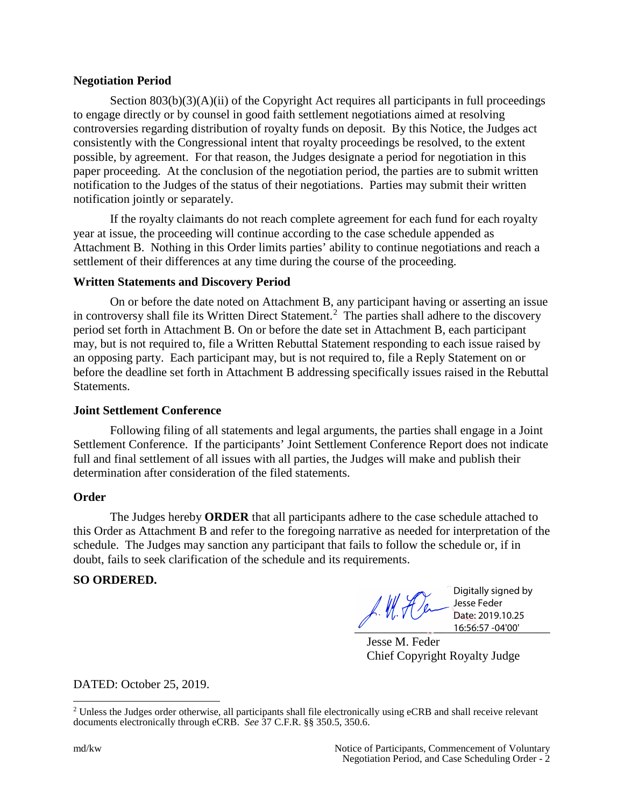#### **Negotiation Period**

Section  $803(b)(3)(A)(ii)$  of the Copyright Act requires all participants in full proceedings to engage directly or by counsel in good faith settlement negotiations aimed at resolving controversies regarding distribution of royalty funds on deposit. By this Notice, the Judges act consistently with the Congressional intent that royalty proceedings be resolved, to the extent possible, by agreement. For that reason, the Judges designate a period for negotiation in this paper proceeding. At the conclusion of the negotiation period, the parties are to submit written notification to the Judges of the status of their negotiations. Parties may submit their written notification jointly or separately.

If the royalty claimants do not reach complete agreement for each fund for each royalty year at issue, the proceeding will continue according to the case schedule appended as Attachment B. Nothing in this Order limits parties' ability to continue negotiations and reach a settlement of their differences at any time during the course of the proceeding.

## **Written Statements and Discovery Period**

On or before the date noted on Attachment B, any participant having or asserting an issue in controversy shall file its Written Direct Statement.<sup>[2](#page-1-0)</sup> The parties shall adhere to the discovery period set forth in Attachment B. On or before the date set in Attachment B, each participant may, but is not required to, file a Written Rebuttal Statement responding to each issue raised by an opposing party. Each participant may, but is not required to, file a Reply Statement on or before the deadline set forth in Attachment B addressing specifically issues raised in the Rebuttal Statements.

#### **Joint Settlement Conference**

Following filing of all statements and legal arguments, the parties shall engage in a Joint Settlement Conference. If the participants' Joint Settlement Conference Report does not indicate full and final settlement of all issues with all parties, the Judges will make and publish their determination after consideration of the filed statements.

#### **Order**

The Judges hereby **ORDER** that all participants adhere to the case schedule attached to this Order as Attachment B and refer to the foregoing narrative as needed for interpretation of the schedule. The Judges may sanction any participant that fails to follow the schedule or, if in doubt, fails to seek clarification of the schedule and its requirements.

## **SO ORDERED.**

f. M. Fler  $\frac{16:56:57-04'00'}{16:56:57-04'00}$ 

Digitally signed by Jesse Feder Date: 2019.10.25

Jesse M. Feder Chief Copyright Royalty Judge

DATED: October 25, 2019.

<span id="page-1-0"></span><sup>&</sup>lt;sup>2</sup> Unless the Judges order otherwise, all participants shall file electronically using eCRB and shall receive relevant documents electronically through eCRB. *See* 37 C.F.R. §§ 350.5, 350.6.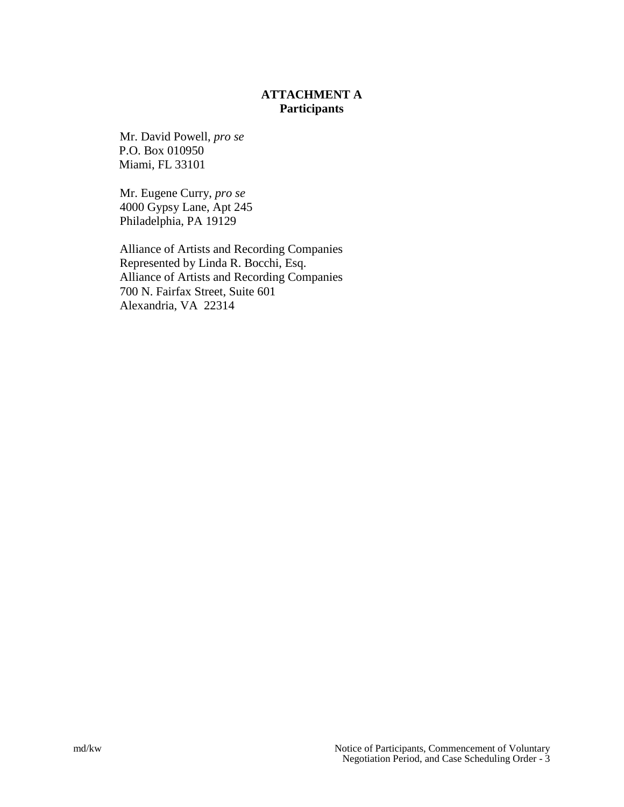# **ATTACHMENT A Participants**

Mr. David Powell, *pro se* P.O. Box 010950 Miami, FL 33101

Mr. Eugene Curry, *pro se* 4000 Gypsy Lane, Apt 245 Philadelphia, PA 19129

Alliance of Artists and Recording Companies Represented by Linda R. Bocchi, Esq. Alliance of Artists and Recording Companies 700 N. Fairfax Street, Suite 601 Alexandria, VA 22314